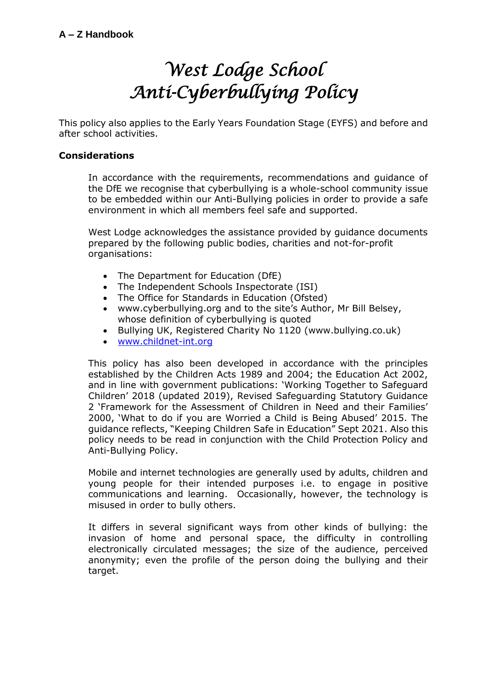# *West Lodge School Anti-Cyberbullying Policy*

This policy also applies to the Early Years Foundation Stage (EYFS) and before and after school activities.

## **Considerations**

In accordance with the requirements, recommendations and guidance of the DfE we recognise that cyberbullying is a whole-school community issue to be embedded within our Anti-Bullying policies in order to provide a safe environment in which all members feel safe and supported.

West Lodge acknowledges the assistance provided by guidance documents prepared by the following public bodies, charities and not-for-profit organisations:

- The Department for Education (DfE)
- The Independent Schools Inspectorate (ISI)
- The Office for Standards in Education (Ofsted)
- www.cyberbullying.org and to the site's Author, Mr Bill Belsey, whose definition of cyberbullying is quoted
- Bullying UK, Registered Charity No 1120 (www.bullying.co.uk)
- [www.childnet-int.org](http://www.childnet-int.org/)

This policy has also been developed in accordance with the principles established by the Children Acts 1989 and 2004; the Education Act 2002, and in line with government publications: 'Working Together to Safeguard Children' 2018 (updated 2019), Revised Safeguarding Statutory Guidance 2 'Framework for the Assessment of Children in Need and their Families' 2000, 'What to do if you are Worried a Child is Being Abused' 2015. The guidance reflects, "Keeping Children Safe in Education" Sept 2021. Also this policy needs to be read in conjunction with the Child Protection Policy and Anti-Bullying Policy.

Mobile and internet technologies are generally used by adults, children and young people for their intended purposes i.e. to engage in positive communications and learning. Occasionally, however, the technology is misused in order to bully others.

It differs in several significant ways from other kinds of bullying: the invasion of home and personal space, the difficulty in controlling electronically circulated messages; the size of the audience, perceived anonymity; even the profile of the person doing the bullying and their target.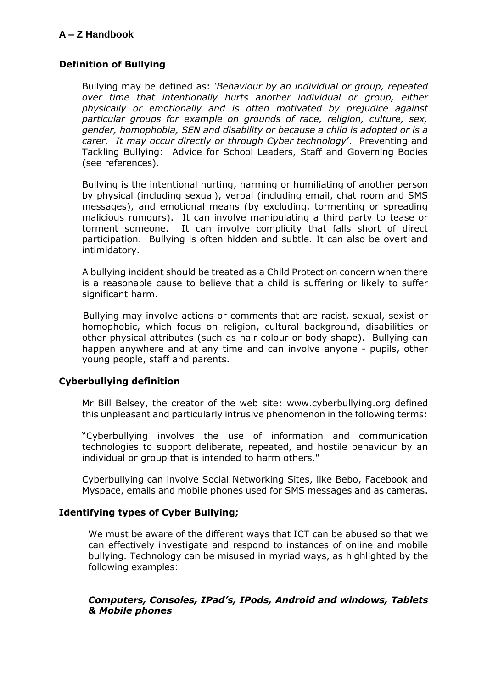# **Definition of Bullying**

Bullying may be defined as: *'Behaviour by an individual or group, repeated over time that intentionally hurts another individual or group, either physically or emotionally and is often motivated by prejudice against particular groups for example on grounds of race, religion, culture, sex, gender, homophobia, SEN and disability or because a child is adopted or is a carer. It may occur directly or through Cyber technology*'. Preventing and Tackling Bullying: Advice for School Leaders, Staff and Governing Bodies (see references).

Bullying is the intentional hurting, harming or humiliating of another person by physical (including sexual), verbal (including email, chat room and SMS messages), and emotional means (by excluding, tormenting or spreading malicious rumours). It can involve manipulating a third party to tease or torment someone. It can involve complicity that falls short of direct participation. Bullying is often hidden and subtle. It can also be overt and intimidatory.

A bullying incident should be treated as a Child Protection concern when there is a reasonable cause to believe that a child is suffering or likely to suffer significant harm.

 Bullying may involve actions or comments that are racist, sexual, sexist or homophobic, which focus on religion, cultural background, disabilities or other physical attributes (such as hair colour or body shape). Bullying can happen anywhere and at any time and can involve anyone - pupils, other young people, staff and parents.

#### **Cyberbullying definition**

Mr Bill Belsey, the creator of the web site: www.cyberbullying.org defined this unpleasant and particularly intrusive phenomenon in the following terms:

"Cyberbullying involves the use of information and communication technologies to support deliberate, repeated, and hostile behaviour by an individual or group that is intended to harm others."

Cyberbullying can involve Social Networking Sites, like Bebo, Facebook and Myspace, emails and mobile phones used for SMS messages and as cameras.

# **Identifying types of Cyber Bullying;**

We must be aware of the different ways that ICT can be abused so that we can effectively investigate and respond to instances of online and mobile bullying. Technology can be misused in myriad ways, as highlighted by the following examples:

#### *Computers, Consoles, IPad's, IPods, Android and windows, Tablets & Mobile phones*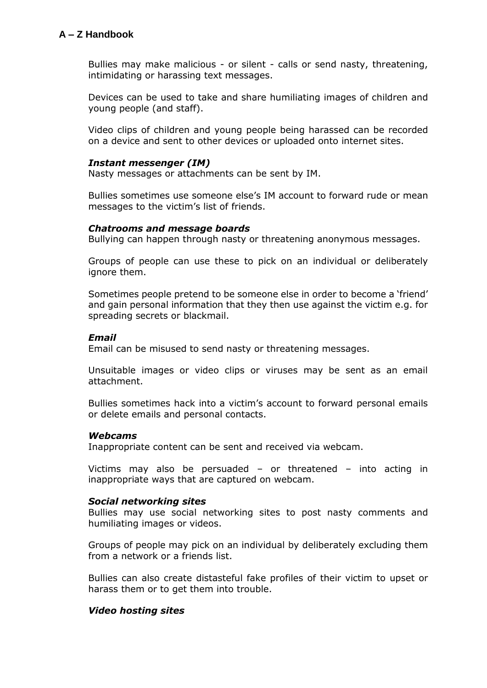Bullies may make malicious - or silent - calls or send nasty, threatening, intimidating or harassing text messages.

Devices can be used to take and share humiliating images of children and young people (and staff).

Video clips of children and young people being harassed can be recorded on a device and sent to other devices or uploaded onto internet sites.

#### *Instant messenger (IM)*

Nasty messages or attachments can be sent by IM.

Bullies sometimes use someone else's IM account to forward rude or mean messages to the victim's list of friends.

#### *Chatrooms and message boards*

Bullying can happen through nasty or threatening anonymous messages.

Groups of people can use these to pick on an individual or deliberately ignore them.

Sometimes people pretend to be someone else in order to become a 'friend' and gain personal information that they then use against the victim e.g. for spreading secrets or blackmail.

#### *Email*

Email can be misused to send nasty or threatening messages.

Unsuitable images or video clips or viruses may be sent as an email attachment.

Bullies sometimes hack into a victim's account to forward personal emails or delete emails and personal contacts.

#### *Webcams*

Inappropriate content can be sent and received via webcam.

Victims may also be persuaded – or threatened – into acting in inappropriate ways that are captured on webcam.

#### *Social networking sites*

Bullies may use social networking sites to post nasty comments and humiliating images or videos.

Groups of people may pick on an individual by deliberately excluding them from a network or a friends list.

Bullies can also create distasteful fake profiles of their victim to upset or harass them or to get them into trouble.

#### *Video hosting sites*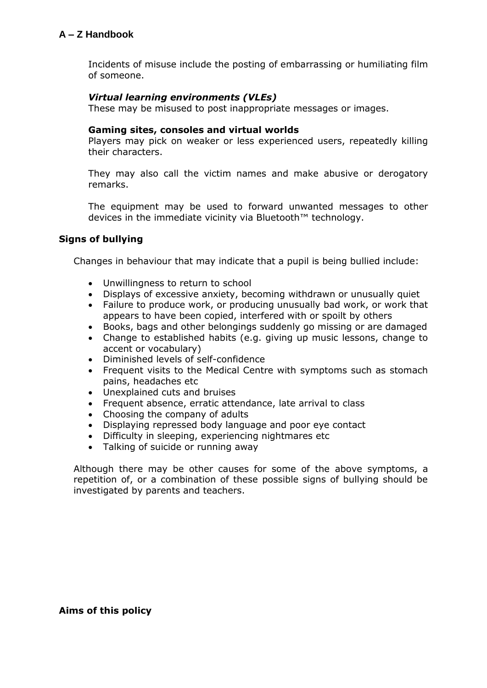Incidents of misuse include the posting of embarrassing or humiliating film of someone.

#### *Virtual learning environments (VLEs)*

These may be misused to post inappropriate messages or images.

#### **Gaming sites, consoles and virtual worlds**

Players may pick on weaker or less experienced users, repeatedly killing their characters.

They may also call the victim names and make abusive or derogatory remarks.

The equipment may be used to forward unwanted messages to other devices in the immediate vicinity via Bluetooth™ technology.

#### **Signs of bullying**

Changes in behaviour that may indicate that a pupil is being bullied include:

- Unwillingness to return to school
- Displays of excessive anxiety, becoming withdrawn or unusually quiet
- Failure to produce work, or producing unusually bad work, or work that appears to have been copied, interfered with or spoilt by others
- Books, bags and other belongings suddenly go missing or are damaged
- Change to established habits (e.g. giving up music lessons, change to accent or vocabulary)
- Diminished levels of self-confidence
- Frequent visits to the Medical Centre with symptoms such as stomach pains, headaches etc
- Unexplained cuts and bruises
- Frequent absence, erratic attendance, late arrival to class
- Choosing the company of adults
- Displaying repressed body language and poor eye contact
- Difficulty in sleeping, experiencing nightmares etc
- Talking of suicide or running away

Although there may be other causes for some of the above symptoms, a repetition of, or a combination of these possible signs of bullying should be investigated by parents and teachers.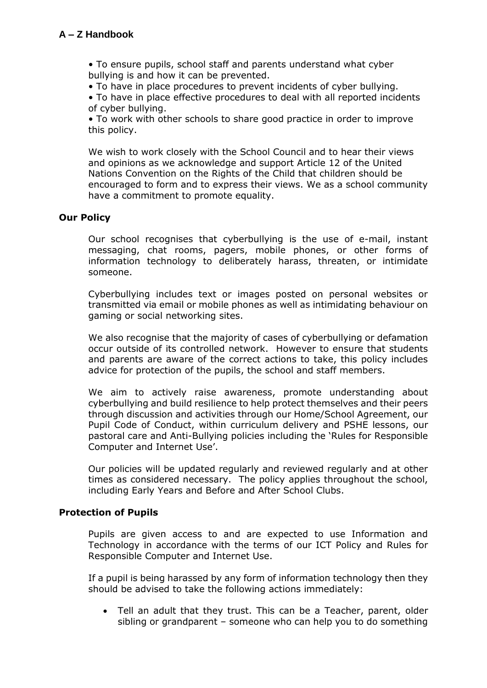• To ensure pupils, school staff and parents understand what cyber bullying is and how it can be prevented.

• To have in place procedures to prevent incidents of cyber bullying.

• To have in place effective procedures to deal with all reported incidents of cyber bullying.

• To work with other schools to share good practice in order to improve this policy.

We wish to work closely with the School Council and to hear their views and opinions as we acknowledge and support Article 12 of the United Nations Convention on the Rights of the Child that children should be encouraged to form and to express their views. We as a school community have a commitment to promote equality.

### **Our Policy**

Our school recognises that cyberbullying is the use of e-mail, instant messaging, chat rooms, pagers, mobile phones, or other forms of information technology to deliberately harass, threaten, or intimidate someone.

Cyberbullying includes text or images posted on personal websites or transmitted via email or mobile phones as well as intimidating behaviour on gaming or social networking sites.

We also recognise that the majority of cases of cyberbullying or defamation occur outside of its controlled network. However to ensure that students and parents are aware of the correct actions to take, this policy includes advice for protection of the pupils, the school and staff members.

We aim to actively raise awareness, promote understanding about cyberbullying and build resilience to help protect themselves and their peers through discussion and activities through our Home/School Agreement, our Pupil Code of Conduct, within curriculum delivery and PSHE lessons, our pastoral care and Anti-Bullying policies including the 'Rules for Responsible Computer and Internet Use'.

Our policies will be updated regularly and reviewed regularly and at other times as considered necessary. The policy applies throughout the school, including Early Years and Before and After School Clubs.

#### **Protection of Pupils**

Pupils are given access to and are expected to use Information and Technology in accordance with the terms of our ICT Policy and Rules for Responsible Computer and Internet Use.

If a pupil is being harassed by any form of information technology then they should be advised to take the following actions immediately:

 Tell an adult that they trust. This can be a Teacher, parent, older sibling or grandparent – someone who can help you to do something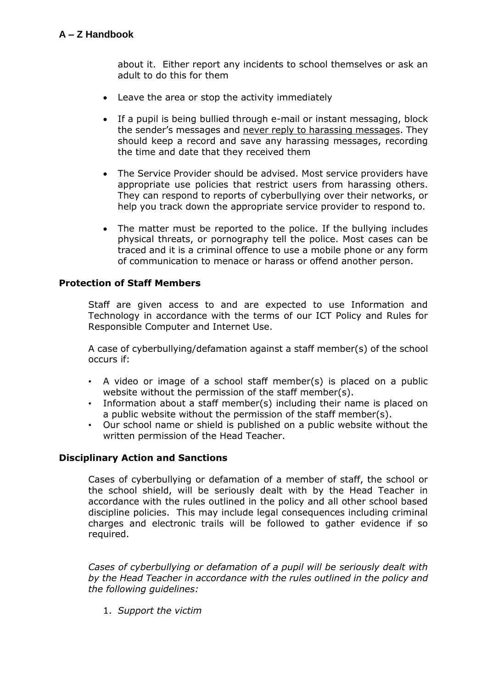about it. Either report any incidents to school themselves or ask an adult to do this for them

- Leave the area or stop the activity immediately
- If a pupil is being bullied through e-mail or instant messaging, block the sender's messages and never reply to harassing messages. They should keep a record and save any harassing messages, recording the time and date that they received them
- The Service Provider should be advised. Most service providers have appropriate use policies that restrict users from harassing others. They can respond to reports of cyberbullying over their networks, or help you track down the appropriate service provider to respond to.
- The matter must be reported to the police. If the bullying includes physical threats, or pornography tell the police. Most cases can be traced and it is a criminal offence to use a mobile phone or any form of communication to menace or harass or offend another person.

#### **Protection of Staff Members**

Staff are given access to and are expected to use Information and Technology in accordance with the terms of our ICT Policy and Rules for Responsible Computer and Internet Use.

A case of cyberbullying/defamation against a staff member(s) of the school occurs if:

- A video or image of a school staff member(s) is placed on a public website without the permission of the staff member(s).
- Information about a staff member(s) including their name is placed on a public website without the permission of the staff member(s).
- Our school name or shield is published on a public website without the written permission of the Head Teacher.

#### **Disciplinary Action and Sanctions**

Cases of cyberbullying or defamation of a member of staff, the school or the school shield, will be seriously dealt with by the Head Teacher in accordance with the rules outlined in the policy and all other school based discipline policies. This may include legal consequences including criminal charges and electronic trails will be followed to gather evidence if so required.

*Cases of cyberbullying or defamation of a pupil will be seriously dealt with by the Head Teacher in accordance with the rules outlined in the policy and the following guidelines:* 

1. *Support the victim*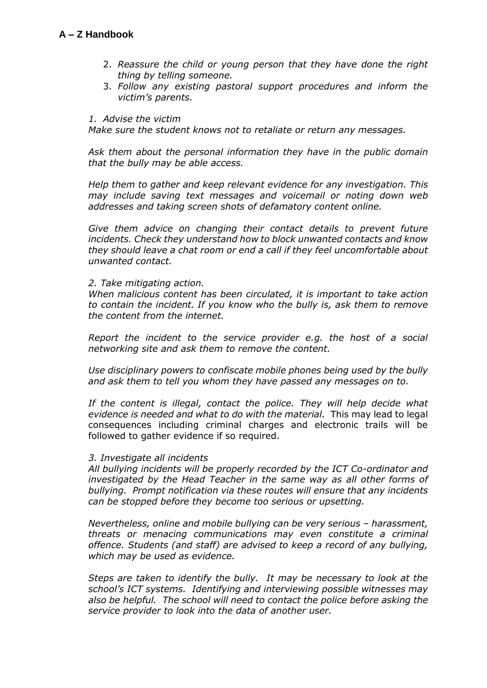- 2. *Reassure the child or young person that they have done the right thing by telling someone.*
- 3. *Follow any existing pastoral support procedures and inform the victim's parents.*

#### *1. Advise the victim*

*Make sure the student knows not to retaliate or return any messages.*

*Ask them about the personal information they have in the public domain that the bully may be able access.*

*Help them to gather and keep relevant evidence for any investigation. This may include saving text messages and voicemail or noting down web addresses and taking screen shots of defamatory content online.*

*Give them advice on changing their contact details to prevent future incidents. Check they understand how to block unwanted contacts and know they should leave a chat room or end a call if they feel uncomfortable about unwanted contact.*

#### *2. Take mitigating action.*

*When malicious content has been circulated, it is important to take action to contain the incident. If you know who the bully is, ask them to remove the content from the internet.*

*Report the incident to the service provider e.g. the host of a social networking site and ask them to remove the content.*

*Use disciplinary powers to confiscate mobile phones being used by the bully and ask them to tell you whom they have passed any messages on to.*

*If the content is illegal, contact the police. They will help decide what evidence is needed and what to do with the material.* This may lead to legal consequences including criminal charges and electronic trails will be followed to gather evidence if so required.

#### *3. Investigate all incidents*

*All bullying incidents will be properly recorded by the ICT Co-ordinator and investigated by the Head Teacher in the same way as all other forms of bullying. Prompt notification via these routes will ensure that any incidents can be stopped before they become too serious or upsetting.* 

*Nevertheless, online and mobile bullying can be very serious - harassment, threats or menacing communications may even constitute a criminal offence. Students (and staff) are advised to keep a record of any bullying, which may be used as evidence.*

*Steps are taken to identify the bully. It may be necessary to look at the school's ICT systems. Identifying and interviewing possible witnesses may also be helpful. The school will need to contact the police before asking the service provider to look into the data of another user.*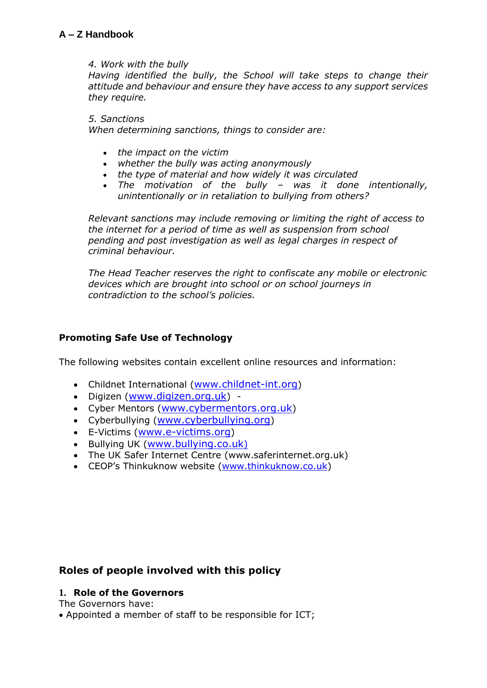#### *4. Work with the bully*

*Having identified the bully, the School will take steps to change their attitude and behaviour and ensure they have access to any support services they require.*

*5. Sanctions* 

*When determining sanctions, things to consider are:*

- *the impact on the victim*
- *whether the bully was acting anonymously*
- *the type of material and how widely it was circulated*
- *The motivation of the bully – was it done intentionally, unintentionally or in retaliation to bullying from others?*

*Relevant sanctions may include removing or limiting the right of access to the internet for a period of time as well as suspension from school pending and post investigation as well as legal charges in respect of criminal behaviour.*

*The Head Teacher reserves the right to confiscate any mobile or electronic devices which are brought into school or on school journeys in contradiction to the school's policies.*

# **Promoting Safe Use of Technology**

The following websites contain excellent online resources and information:

- Childnet International ([www.childnet-int.org](http://www.childnet-int.org/))
- Digizen ([www.digizen.org.uk](http://www.digizen.org.uk/)) -
- Cyber Mentors ([www.cybermentors.org.uk](http://www.cybermentors.org.uk/))
- Cyberbullying ([www.cyberbullying.org](http://www.cyberbullying.org/))
- E-Victims ([www.e-victims.org](http://www.e-victims.org/))
- Bullying UK ([www.bullying.co.uk](http://www.bullying.co.uk)/))
- The UK Safer Internet Centre (www.saferinternet.org.uk)
- CEOP's Thinkuknow website ([www.thinkuknow.co.uk\)](http://www.thinkuknow.co.uk/)

# **Roles of people involved with this policy**

#### **1. Role of the Governors**

The Governors have:

Appointed a member of staff to be responsible for ICT;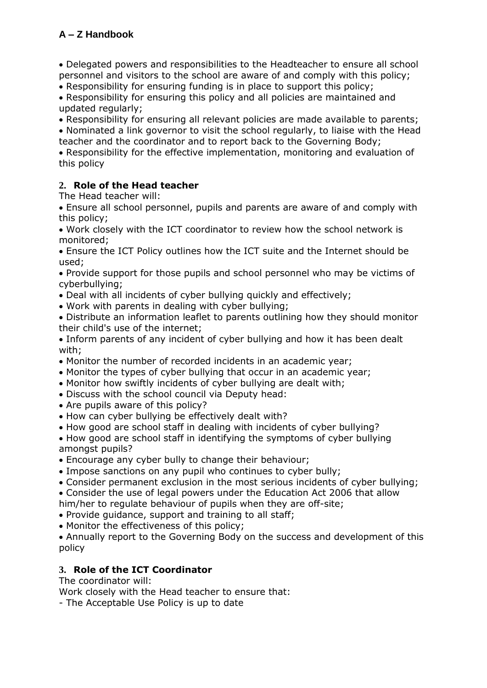Delegated powers and responsibilities to the Headteacher to ensure all school personnel and visitors to the school are aware of and comply with this policy;

Responsibility for ensuring funding is in place to support this policy;

 Responsibility for ensuring this policy and all policies are maintained and updated regularly;

Responsibility for ensuring all relevant policies are made available to parents;

 Nominated a link governor to visit the school regularly, to liaise with the Head teacher and the coordinator and to report back to the Governing Body;

 Responsibility for the effective implementation, monitoring and evaluation of this policy

# **2. Role of the Head teacher**

The Head teacher will:

 Ensure all school personnel, pupils and parents are aware of and comply with this policy;

 Work closely with the ICT coordinator to review how the school network is monitored;

 Ensure the ICT Policy outlines how the ICT suite and the Internet should be used;

 Provide support for those pupils and school personnel who may be victims of cyberbullying;

- Deal with all incidents of cyber bullying quickly and effectively;
- Work with parents in dealing with cyber bullying;

 Distribute an information leaflet to parents outlining how they should monitor their child's use of the internet;

 Inform parents of any incident of cyber bullying and how it has been dealt with;

- Monitor the number of recorded incidents in an academic year;
- Monitor the types of cyber bullying that occur in an academic year;
- Monitor how swiftly incidents of cyber bullying are dealt with;
- Discuss with the school council via Deputy head:
- Are pupils aware of this policy?
- How can cyber bullying be effectively dealt with?
- How good are school staff in dealing with incidents of cyber bullying?
- How good are school staff in identifying the symptoms of cyber bullying amongst pupils?
- Encourage any cyber bully to change their behaviour;
- Impose sanctions on any pupil who continues to cyber bully;
- Consider permanent exclusion in the most serious incidents of cyber bullying;

Consider the use of legal powers under the Education Act 2006 that allow

him/her to regulate behaviour of pupils when they are off-site;

Provide guidance, support and training to all staff;

• Monitor the effectiveness of this policy;

 Annually report to the Governing Body on the success and development of this policy

# **3. Role of the ICT Coordinator**

The coordinator will:

Work closely with the Head teacher to ensure that:

- The Acceptable Use Policy is up to date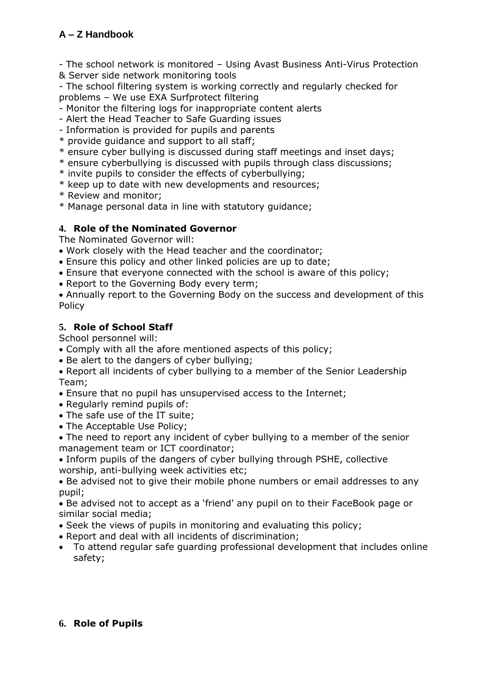- The school network is monitored – Using Avast Business Anti-Virus Protection

& Server side network monitoring tools

- The school filtering system is working correctly and regularly checked for problems – We use EXA Surfprotect filtering

- Monitor the filtering logs for inappropriate content alerts
- Alert the Head Teacher to Safe Guarding issues
- Information is provided for pupils and parents
- \* provide guidance and support to all staff;
- \* ensure cyber bullying is discussed during staff meetings and inset days;
- \* ensure cyberbullying is discussed with pupils through class discussions;
- \* invite pupils to consider the effects of cyberbullying;
- \* keep up to date with new developments and resources;
- \* Review and monitor;
- \* Manage personal data in line with statutory guidance;

# **4. Role of the Nominated Governor**

The Nominated Governor will:

- Work closely with the Head teacher and the coordinator;
- Ensure this policy and other linked policies are up to date;
- Ensure that everyone connected with the school is aware of this policy;
- Report to the Governing Body every term;
- Annually report to the Governing Body on the success and development of this Policy

# **5. Role of School Staff**

School personnel will:

- Comply with all the afore mentioned aspects of this policy;
- Be alert to the dangers of cyber bullying;
- Report all incidents of cyber bullying to a member of the Senior Leadership Team;
- Ensure that no pupil has unsupervised access to the Internet;
- Regularly remind pupils of:
- The safe use of the IT suite;
- The Acceptable Use Policy;
- The need to report any incident of cyber bullying to a member of the senior management team or ICT coordinator;
- Inform pupils of the dangers of cyber bullying through PSHE, collective worship, anti-bullying week activities etc;

 Be advised not to give their mobile phone numbers or email addresses to any pupil;

 Be advised not to accept as a 'friend' any pupil on to their FaceBook page or similar social media;

- Seek the views of pupils in monitoring and evaluating this policy;
- Report and deal with all incidents of discrimination;
- To attend regular safe guarding professional development that includes online safety;

# **6. Role of Pupils**